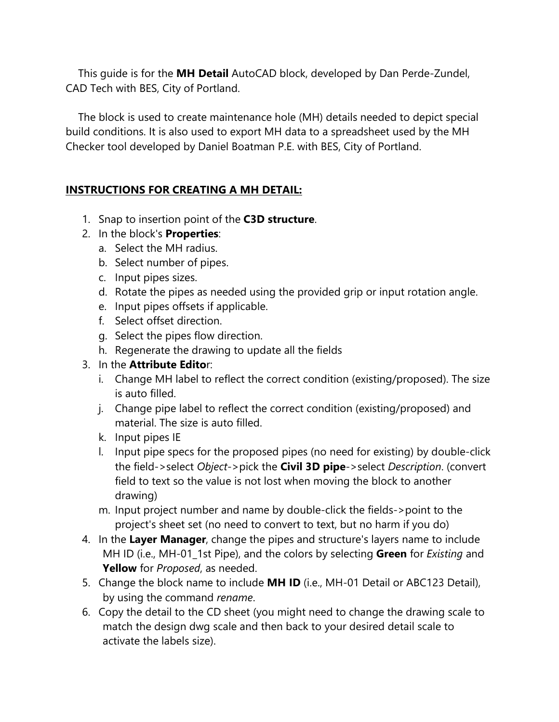This guide is for the **MH Detail** AutoCAD block, developed by Dan Perde-Zundel, CAD Tech with BES, City of Portland.

The block is used to create maintenance hole (MH) details needed to depict special build conditions. It is also used to export MH data to a spreadsheet used by the MH Checker tool developed by Daniel Boatman P.E. with BES, City of Portland.

## **INSTRUCTIONS FOR CREATING A MH DETAIL:**

- 1. Snap to insertion point of the **C3D structure**.
- 2. In the block's **Properties**:
	- a. Select the MH radius.
	- b. Select number of pipes.
	- c. Input pipes sizes.
	- d. Rotate the pipes as needed using the provided grip or input rotation angle.
	- e. Input pipes offsets if applicable.
	- f. Select offset direction.
	- g. Select the pipes flow direction.
	- h. Regenerate the drawing to update all the fields

## 3. In the **Attribute Edito**r:

- i. Change MH label to reflect the correct condition (existing/proposed). The size is auto filled.
- j. Change pipe label to reflect the correct condition (existing/proposed) and material. The size is auto filled.
- k. Input pipes IE
- l. Input pipe specs for the proposed pipes (no need for existing) by double-click the field->select *Object*->pick the **Civil 3D pipe**->select *Description*. (convert field to text so the value is not lost when moving the block to another drawing)
- m. Input project number and name by double-click the fields->point to the project's sheet set (no need to convert to text, but no harm if you do)
- 4. In the **Layer Manager**, change the pipes and structure's layers name to include MH ID (i.e., MH-01\_1st Pipe), and the colors by selecting **Green** for *Existing* and **Yellow** for *Proposed*, as needed.
- 5. Change the block name to include **MH ID** (i.e., MH-01 Detail or ABC123 Detail), by using the command *rename*.
- 6. Copy the detail to the CD sheet (you might need to change the drawing scale to match the design dwg scale and then back to your desired detail scale to activate the labels size).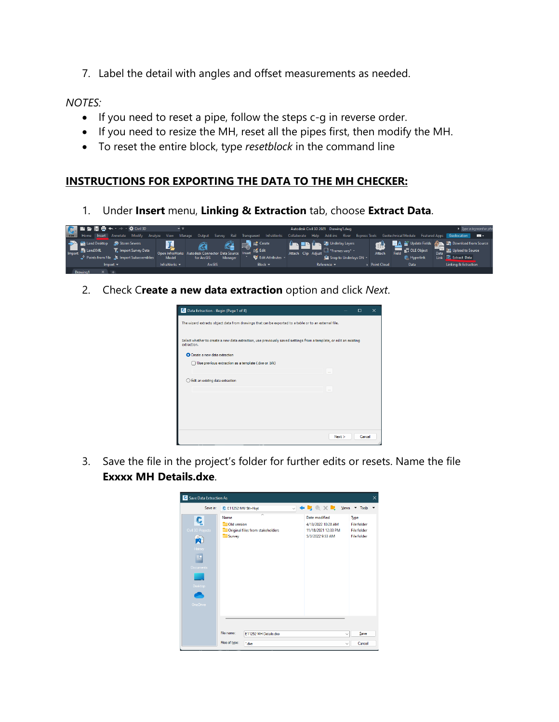7. Label the detail with angles and offset measurements as needed.

## *NOTES:*

- If you need to reset a pipe, follow the steps c-g in reverse order.
- If you need to resize the MH, reset all the pipes first, then modify the MH.
- To reset the entire block, type *resetblock* in the command line

## **INSTRUCTIONS FOR EXPORTING THE DATA TO THE MH CHECKER:**

1. Under **Insert** menu, **Linking & Extraction** tab, choose **Extract Data**.



2. Check C**reate a new data extraction** option and click *Next*.

| C Data Extraction - Begin (Page 1 of 8)                                                                                           |      | $\Box$ | $\times$ |
|-----------------------------------------------------------------------------------------------------------------------------------|------|--------|----------|
| The wizard extracts object data from drawings that can be exported to a table or to an external file.                             |      |        |          |
| Select whether to create a new data extraction, use previously saved settings from a template, or edit an existing<br>extraction. |      |        |          |
| <b>O</b> Create a new data extraction                                                                                             |      |        |          |
| Use previous extraction as a template (.dxe or .blk)                                                                              |      |        |          |
|                                                                                                                                   |      |        |          |
| Edit an existing data extraction                                                                                                  |      |        |          |
|                                                                                                                                   |      |        |          |
|                                                                                                                                   |      |        |          |
|                                                                                                                                   |      |        |          |
|                                                                                                                                   |      |        |          |
|                                                                                                                                   |      |        |          |
|                                                                                                                                   | Next | Cancel |          |

3. Save the file in the project's folder for further edits or resets. Name the file **Exxxx MH Details.dxe**.

| Save Data Extraction As                                                            |                               |                                               |                                                                                                                                 |              |                                                                        | $\times$ |
|------------------------------------------------------------------------------------|-------------------------------|-----------------------------------------------|---------------------------------------------------------------------------------------------------------------------------------|--------------|------------------------------------------------------------------------|----------|
| Save in:                                                                           | C E11252 NW 9th-Hoyt          |                                               | $\vee$ $\blacksquare$ $\mathbb{R}$ $\mathbb{R}$ $\times$ $\blacksquare$ Yiews $\blacktriangleright$ Tools $\blacktriangleright$ |              |                                                                        |          |
| Ç<br>Civil 3D Projects<br>距<br>History<br><b>Documents</b><br>Desktop<br>One Drive | Name<br>Old version<br>Survey | $\lambda$<br>Original files from stakeholders | Date modified<br>4/13/2022 10:28 AM<br>11/18/2021 12:33 PM<br>5/3/2022 9:53 AM                                                  |              | Type<br><b>File folder</b><br><b>File folder</b><br><b>File folder</b> |          |
|                                                                                    | File name:                    | E11252 MH Details.dxe                         |                                                                                                                                 | $\checkmark$ | Save                                                                   |          |
|                                                                                    | Files of type:                | *.dxe                                         |                                                                                                                                 | $\checkmark$ | Cancel                                                                 |          |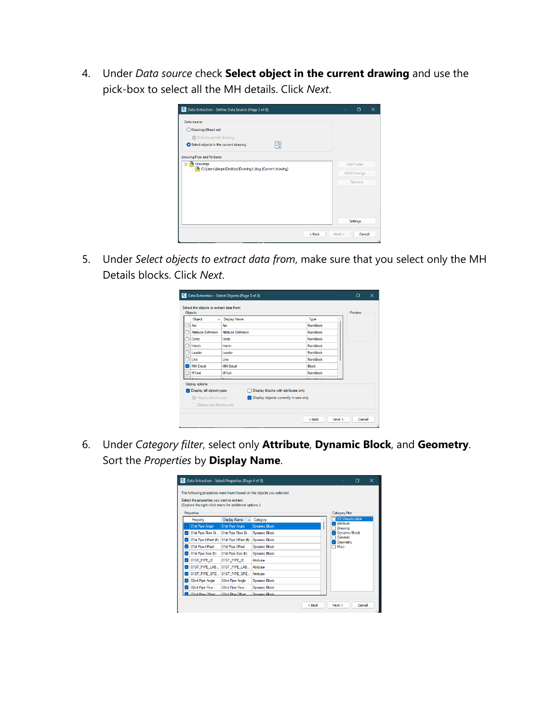4. Under *Data source* check **Select object in the current drawing** and use the pick-box to select all the MH details. Click *Next*.

| C Data Extraction - Define Data Source (Page 2 of 8)  |        | ο              | $\times$ |
|-------------------------------------------------------|--------|----------------|----------|
| Data source                                           |        |                |          |
| Drawings/Sheet set                                    |        |                |          |
| $\triangleright$ Include current drawing              |        |                |          |
| LŊ.<br>Select objects in the current drawing          |        |                |          |
| Drawing files and folders:                            |        |                |          |
| <b>E</b> Drawings                                     |        | Add Folder     |          |
| C:\Users\danpe\Desktop\Drawing1.dwg (Current drawing) |        | Add Drawings   |          |
|                                                       |        | Remove         |          |
|                                                       |        |                |          |
|                                                       |        |                |          |
|                                                       |        |                |          |
|                                                       |        |                |          |
|                                                       |        | Settings       |          |
|                                                       | $Back$ | Cancel<br>Next |          |
|                                                       |        |                | ä.       |

5. Under *Select objects to extract data from*, make sure that you select only the MH Details blocks. Click *Next*.

| Objects |                           |                             |                                                        |              |  | Preview |  |
|---------|---------------------------|-----------------------------|--------------------------------------------------------|--------------|--|---------|--|
|         | Object<br>$\Delta$        | <b>Display Name</b>         |                                                        | Type         |  |         |  |
|         | Arc:                      | Arc:                        |                                                        | Non-block    |  |         |  |
|         | Attribute Definition      | <b>Attribute Definition</b> |                                                        | Non-block    |  |         |  |
|         | Circle                    | Circle                      |                                                        | Non-block    |  |         |  |
|         | Hatch                     | Hatch                       |                                                        | Non-block    |  |         |  |
|         | Leader                    | Leader                      |                                                        | Non-block    |  |         |  |
|         | Line                      | line                        |                                                        | Non-block    |  |         |  |
| J.      | <b>MH Detail</b>          | <b>MH</b> Detail            |                                                        | <b>Block</b> |  |         |  |
|         | <b>MText</b>              | <b>MText</b>                |                                                        | Non-block    |  |         |  |
|         | <b>Display options</b>    |                             |                                                        |              |  |         |  |
| M       | Display all object types  |                             | Display blocks with attributes only                    |              |  |         |  |
|         | O Display blocks only     |                             | $\triangleright$ Display objects currently in-use only |              |  |         |  |
|         | ○ Display non-blocks only |                             |                                                        |              |  |         |  |

6. Under *Category filter*, select only **Attribute**, **Dynamic Block**, and **Geometry**. Sort the *Properties* by **Display Name**.

| Select the properties you want to extract. |                                                        | The following properties were found based on the objects you selected. |                         |  |
|--------------------------------------------|--------------------------------------------------------|------------------------------------------------------------------------|-------------------------|--|
| Properties                                 | (Explore the right-click menu for additional options.) |                                                                        | Category filter         |  |
| Property                                   | <b>Display Name</b>                                    | Category                                                               | <b>3D Visualization</b> |  |
| 01st Pipe Angle                            | 01st Pipe Angle                                        | <b>Dynamic Block</b>                                                   | Attribute<br>Drawing    |  |
| 01st Pipe Flow Di                          | 01st Pipe Flow Di                                      | <b>Dynamic Block</b>                                                   | <b>Dynamic Block</b>    |  |
| 01st Pipe Offset (ft)                      | 01st Pipe Offset (ft)                                  | Dynamic Block                                                          | General<br>Geometry     |  |
| 01st Pipe Offset                           | 01st Pipe Offset                                       | Dynamic Block                                                          | Misc                    |  |
| 01st Pipe Size ft)                         | 01st Pipe Size (ft)                                    | <b>Dynamic Block</b>                                                   |                         |  |
| 01ST PIPE IE                               | 01ST PIPE IE                                           | Attribute                                                              |                         |  |
| 01ST_PIPE_LAB                              | 01ST_PIPE_LAB                                          | Attribute                                                              |                         |  |
| 01ST_PIPE_SPE                              | 01ST_PIPE_SPE                                          | Attribute                                                              |                         |  |
| 02nd Pipe Angle                            | 02nd Pipe Angle                                        | <b>Dynamic Block</b>                                                   |                         |  |
| 02nd Pipe Flow                             | 02nd Pipe Flow                                         | <b>Dynamic Block</b>                                                   |                         |  |
| 2 02nd Pine Offset                         | 02nd Pine Offset                                       | Dunamic Block                                                          |                         |  |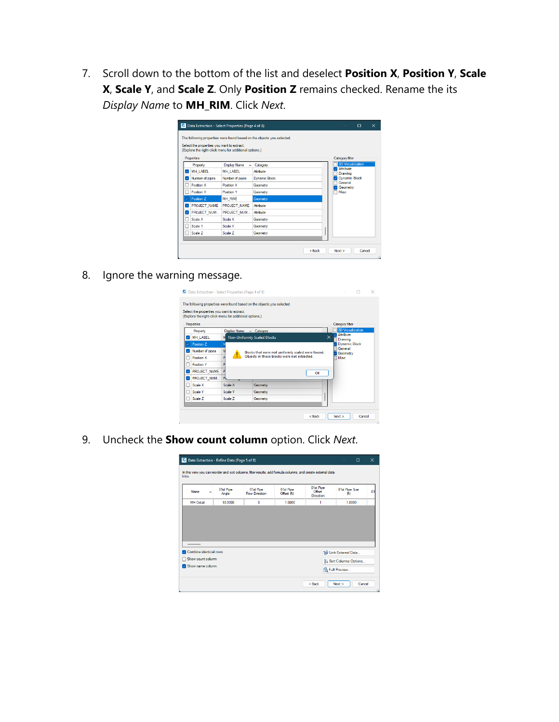7. Scroll down to the bottom of the list and deselect **Position X**, **Position Y**, **Scale X**, **Scale Y**, and **Scale Z**. Only **Position Z** remains checked. Rename the its *Display Name* to **MH\_RIM**. Click *Next*.

|   | Select the properties you want to extract. | (Explore the right-click menu for additional options.) |                      |                             |  |
|---|--------------------------------------------|--------------------------------------------------------|----------------------|-----------------------------|--|
|   | Properties                                 |                                                        |                      | Category filter             |  |
|   | Property                                   | <b>Display Name</b><br>A.                              | Category             | <b>3D Visualization</b>     |  |
|   | MH LABEL                                   | MH LABEL                                               | Attribute            | <b>Attribute</b><br>Drawing |  |
|   | Number of pipes                            | Number of pipes                                        | <b>Dynamic Block</b> | <b>Dynamic Block</b>        |  |
|   | Position X                                 | Position X                                             | Geometry             | General<br>Geometry         |  |
|   | Position Y                                 | Position Y                                             | Geometry             | <b>Misc</b>                 |  |
|   | Position Z                                 | MH RIM                                                 | <b>Geometry</b>      |                             |  |
| ◡ | PROJECT_NAME                               | PROJECT_NAME                                           | Attribute            |                             |  |
| ✓ | PROJECT NUM                                | PROJECT NUM                                            | Attribute            |                             |  |
|   | Scale X                                    | Scale X                                                | Geometry             |                             |  |
|   | Scale Y                                    | Scale Y                                                | Geometry             |                             |  |
|   | Scale Z                                    | Scale Z                                                | Geometry             |                             |  |

8. Ignore the warning message.

|                                                                                                      |         | The following properties were found based on the objects you selected. |          |                                         |
|------------------------------------------------------------------------------------------------------|---------|------------------------------------------------------------------------|----------|-----------------------------------------|
| Select the properties you want to extract.<br>(Explore the right-click menu for additional options.) |         |                                                                        |          |                                         |
| Properties                                                                                           |         |                                                                        |          | Category filter                         |
| Property                                                                                             |         | Display Name A Category                                                |          | <b>3D Visualization</b>                 |
| MH LABEL                                                                                             |         | <b>Non-Uniformly Scaled Blocks</b>                                     |          | Attribute<br>$\times$<br><b>Drawing</b> |
| Position <sub>Z</sub>                                                                                |         |                                                                        |          | <b>Dynamic Block</b>                    |
| Number of pipes                                                                                      |         | Blocks that were not uniformly scaled were found.                      |          | General<br>Geometry                     |
| Position X                                                                                           |         | Objects in those blocks were not extracted.                            |          | <b>Misc</b>                             |
| Position Y                                                                                           |         |                                                                        |          |                                         |
| PROJECT NAME                                                                                         | P       |                                                                        | $\alpha$ |                                         |
| PROJECT NUM                                                                                          | P       |                                                                        |          |                                         |
| Scale X                                                                                              | Scale X | Geometry                                                               |          |                                         |
| Scale Y                                                                                              | Scale Y | Geometry                                                               |          |                                         |
| Scale Z                                                                                              | Scale Z | Geometry                                                               |          |                                         |
|                                                                                                      |         |                                                                        |          |                                         |

9. Uncheck the **Show count column** option. Click *Next*.

| Name                   | ᇫ | 01st Pipe<br>Angle | 01st Pipe<br><b>Flow Direction</b> | 01st Pipe<br>Offset (ft) | 01st Pipe<br><b>Offset</b> | <b>01st Pipe Size</b><br>Gt) | 01 |
|------------------------|---|--------------------|------------------------------------|--------------------------|----------------------------|------------------------------|----|
| <b>MH</b> Detail       |   | 18,0000            | 0                                  | 1.0000                   | Direction<br>1             | 1.0000                       |    |
|                        |   |                    |                                    |                          |                            |                              |    |
|                        |   |                    |                                    |                          |                            |                              |    |
| Combine identical rows |   |                    |                                    |                          |                            | 69 Link External Data        |    |